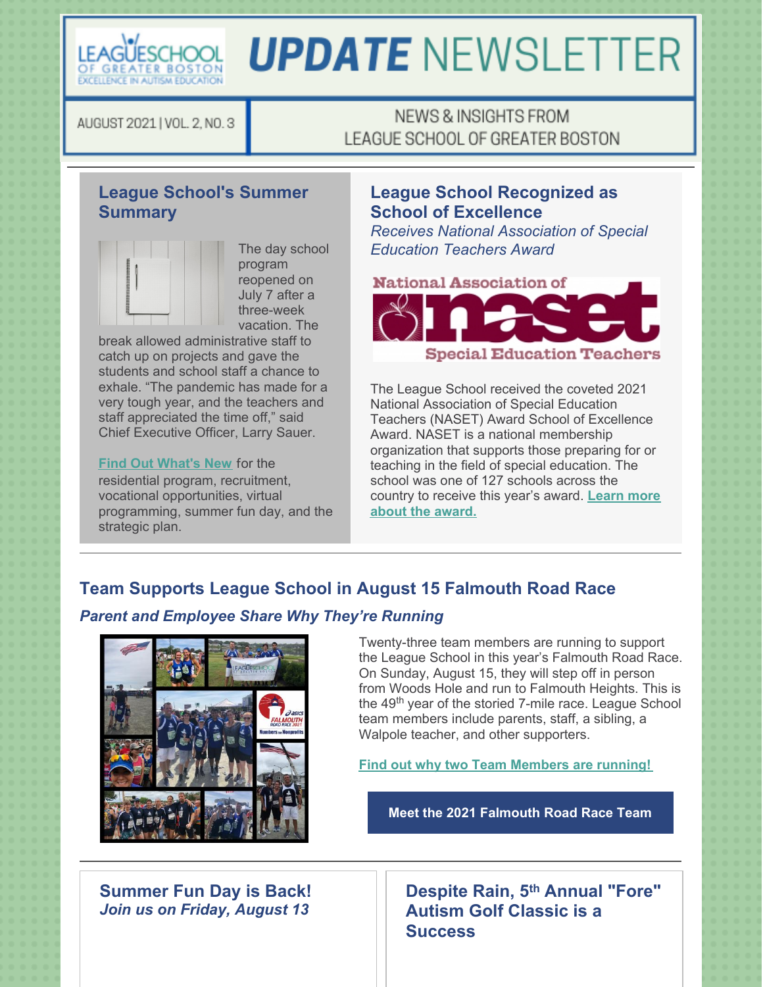

# **UPDATE NEWSLETTER**

AUGUST 2021 | VOL. 2, NO. 3

## NEWS & INSIGHTS FROM LEAGUE SCHOOL OF GREATER BOSTON

## **League School's Summer Summary**



The day school program reopened on July 7 after a three-week vacation. The

break allowed administrative staff to catch up on projects and gave the students and school staff a chance to exhale. "The pandemic has made for a very tough year, and the teachers and staff appreciated the time off," said Chief Executive Officer, Larry Sauer.

#### **Find Out [What's](https://leagueschool.org/league-school-summer-summary/) New** for the

residential program, recruitment, vocational opportunities, virtual programming, summer fun day, and the strategic plan.

## **League School Recognized as School of Excellence**

*Receives National Association of Special Education Teachers Award*



The League School received the coveted 2021 National Association of Special Education Teachers (NASET) Award School of Excellence Award. NASET is a national membership organization that supports those preparing for or teaching in the field of special education. The school was one of 127 schools across the [country](https://leagueschool.org/league-recognized-as-school-of-excellence/) to receive this year's award. **Learn more about the award.**

# **Team Supports League School in August 15 Falmouth Road Race**

### *Parent and Employee Share Why They're Running*



Twenty-three team members are running to support the League School in this year's Falmouth Road Race. On Sunday, August 15, they will step off in person from Woods Hole and run to Falmouth Heights. This is the 49<sup>th</sup> year of the storied 7-mile race. League School team members include parents, staff, a sibling, a Walpole teacher, and other supporters.

**Find out why two Team [Members](https://leagueschool.org/team-supports-league-school-in-august-15-falmouth-road-race/) are running!**

**Meet the 2021 [Falmouth](https://raceroster.com/events/2021/31634/the-2021-asics-falmouth-road-race/pledge/team/74) Road Race Team**

**Summer Fun Day is Back!** *Join us on Friday, August 13*

**Despite Rain, 5 th Annual "Fore" Autism Golf Classic is a Success**